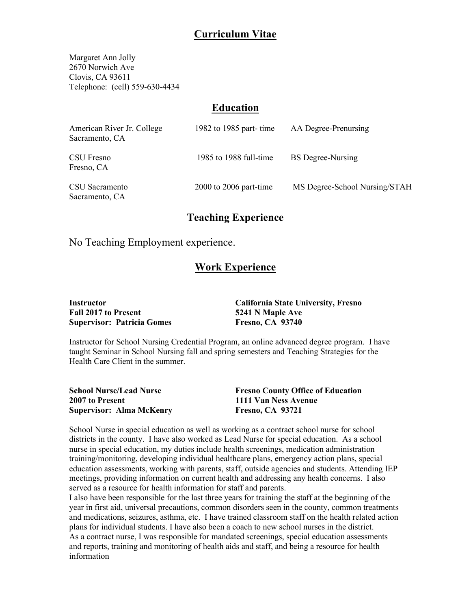### **Curriculum Vitae**

Margaret Ann Jolly 2670 Norwich Ave Clovis, CA 93611 Telephone: (cell) 559-630-4434

#### **Education**

| American River Jr. College<br>Sacramento, CA | 1982 to 1985 part-time     | AA Degree-Prenursing          |
|----------------------------------------------|----------------------------|-------------------------------|
| CSU Fresno<br>Fresno, CA                     | 1985 to 1988 full-time     | <b>BS</b> Degree-Nursing      |
| CSU Sacramento<br>Sacramento, CA             | $2000$ to $2006$ part-time | MS Degree-School Nursing/STAH |

### **Teaching Experience**

No Teaching Employment experience.

#### **Work Experience**

**Instructor California State University, Fresno Fall 2017 to Present 5241 N Maple Ave Supervisor: Patricia Gomes Fresno, CA 93740** 

Instructor for School Nursing Credential Program, an online advanced degree program. I have taught Seminar in School Nursing fall and spring semesters and Teaching Strategies for the Health Care Client in the summer.

| <b>School Nurse/Lead Nurse</b>  | <b>Fresno County Office of Education</b> |
|---------------------------------|------------------------------------------|
| 2007 to Present                 | 1111 Van Ness Avenue                     |
| <b>Supervisor: Alma McKenry</b> | <b>Fresno, CA 93721</b>                  |

School Nurse in special education as well as working as a contract school nurse for school districts in the county. I have also worked as Lead Nurse for special education. As a school nurse in special education, my duties include health screenings, medication administration training/monitoring, developing individual healthcare plans, emergency action plans, special education assessments, working with parents, staff, outside agencies and students. Attending IEP meetings, providing information on current health and addressing any health concerns. I also served as a resource for health information for staff and parents.

I also have been responsible for the last three years for training the staff at the beginning of the year in first aid, universal precautions, common disorders seen in the county, common treatments and medications, seizures, asthma, etc. I have trained classroom staff on the health related action plans for individual students. I have also been a coach to new school nurses in the district. As a contract nurse, I was responsible for mandated screenings, special education assessments and reports, training and monitoring of health aids and staff, and being a resource for health information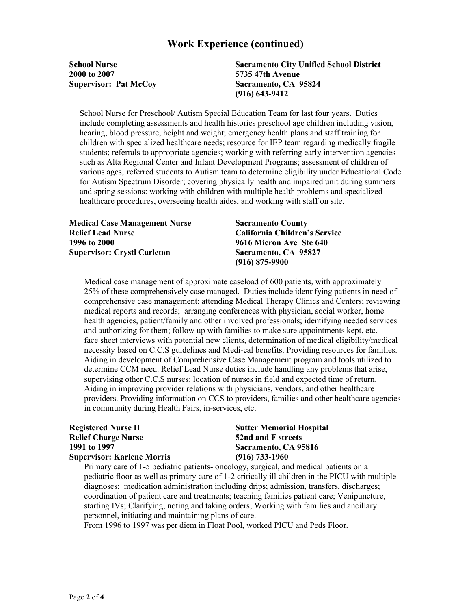#### **Work Experience (continued)**

**2000 to 2007 5735 47th Avenue Supervisor: Pat McCoy Sacramento, CA 95824**

**School Nurse Sacramento City Unified School District (916) 643-9412**

School Nurse for Preschool/ Autism Special Education Team for last four years. Duties include completing assessments and health histories preschool age children including vision, hearing, blood pressure, height and weight; emergency health plans and staff training for children with specialized healthcare needs; resource for IEP team regarding medically fragile students; referrals to appropriate agencies; working with referring early intervention agencies such as Alta Regional Center and Infant Development Programs; assessment of children of various ages, referred students to Autism team to determine eligibility under Educational Code for Autism Spectrum Disorder; covering physically health and impaired unit during summers and spring sessions: working with children with multiple health problems and specialized healthcare procedures, overseeing health aides, and working with staff on site.

| <b>Medical Case Management Nurse</b> | <b>Sacramento County</b>      |
|--------------------------------------|-------------------------------|
| <b>Relief Lead Nurse</b>             | California Children's Service |
| 1996 to 2000                         | 9616 Micron Ave Ste 640       |
| <b>Supervisor: Crystl Carleton</b>   | Sacramento, CA 95827          |
|                                      | $(916) 875 - 9900$            |

 Medical case management of approximate caseload of 600 patients, with approximately 25% of these comprehensively case managed. Duties include identifying patients in need of comprehensive case management; attending Medical Therapy Clinics and Centers; reviewing medical reports and records; arranging conferences with physician, social worker, home health agencies, patient/family and other involved professionals; identifying needed services and authorizing for them; follow up with families to make sure appointments kept, etc. face sheet interviews with potential new clients, determination of medical eligibility/medical necessity based on C.C.S guidelines and Medi-cal benefits. Providing resources for families. Aiding in development of Comprehensive Case Management program and tools utilized to determine CCM need. Relief Lead Nurse duties include handling any problems that arise, supervising other C.C.S nurses: location of nurses in field and expected time of return. Aiding in improving provider relations with physicians, vendors, and other healthcare providers. Providing information on CCS to providers, families and other healthcare agencies in community during Health Fairs, in-services, etc.

| <b>Registered Nurse II</b>        | <b>Sutter Memorial Hospital</b> |
|-----------------------------------|---------------------------------|
| <b>Relief Charge Nurse</b>        | 52nd and F streets              |
| 1991 to 1997                      | Sacramento, CA 95816            |
| <b>Supervisor: Karlene Morris</b> | $(916) 733 - 1960$              |

 Primary care of 1-5 pediatric patients- oncology, surgical, and medical patients on a pediatric floor as well as primary care of 1-2 critically ill children in the PICU with multiple diagnoses; medication administration including drips; admission, transfers, discharges; coordination of patient care and treatments; teaching families patient care; Venipuncture, starting IVs; Clarifying, noting and taking orders; Working with families and ancillary personnel, initiating and maintaining plans of care.

From 1996 to 1997 was per diem in Float Pool, worked PICU and Peds Floor.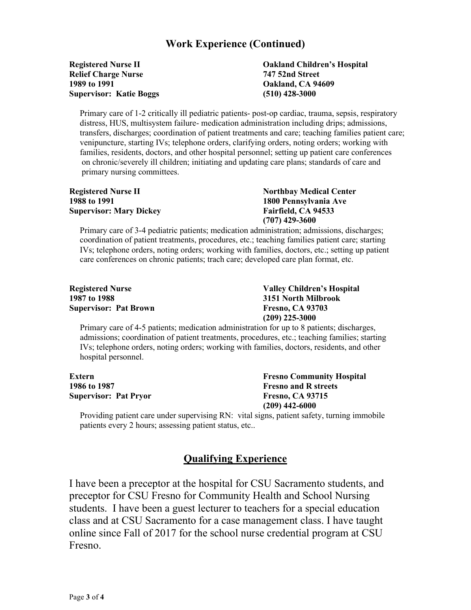## **Work Experience (Continued)**

**Relief Charge Nurse 747 52nd Street 1989 to 1991 Oakland, CA 94609 Supervisor: Katie Boggs (510) 428-3000**

**Registered Nurse II Oakland Children's Hospital**

 Primary care of 1-2 critically ill pediatric patients- post-op cardiac, trauma, sepsis, respiratory distress, HUS, multisystem failure- medication administration including drips; admissions, transfers, discharges; coordination of patient treatments and care; teaching families patient care; venipuncture, starting IVs; telephone orders, clarifying orders, noting orders; working with families, residents, doctors, and other hospital personnel; setting up patient care conferences on chronic/severely ill children; initiating and updating care plans; standards of care and primary nursing committees.

| <b>Registered Nurse II</b> | <b>Northbay Medical Center</b> |
|----------------------------|--------------------------------|
| 1988 to 1991               | 1800 Pennsylvania Ave          |
| Supervisor: Mary Dickey    | Fairfield, CA 94533            |
|                            | $(707)$ 429-3600               |

 Primary care of 3-4 pediatric patients; medication administration; admissions, discharges; coordination of patient treatments, procedures, etc.; teaching families patient care; starting IVs; telephone orders, noting orders; working with families, doctors, etc.; setting up patient care conferences on chronic patients; trach care; developed care plan format, etc.

| <b>Registered Nurse</b>      | <b>Valley Children's Hospital</b> |
|------------------------------|-----------------------------------|
| 1987 to 1988                 | 3151 North Milbrook               |
| <b>Supervisor: Pat Brown</b> | <b>Fresno, CA 93703</b>           |
|                              | $(209)$ 225-3000                  |

 Primary care of 4-5 patients; medication administration for up to 8 patients; discharges, admissions; coordination of patient treatments, procedures, etc.; teaching families; starting IVs; telephone orders, noting orders; working with families, doctors, residents, and other hospital personnel.

**1986 to 1987 Fresno and R streets Supervisor: Pat Pryor Fresno, CA 93715** 

**Extern Fresno Community Hospital (209) 442-6000**

 Providing patient care under supervising RN: vital signs, patient safety, turning immobile patients every 2 hours; assessing patient status, etc..

# **Qualifying Experience**

I have been a preceptor at the hospital for CSU Sacramento students, and preceptor for CSU Fresno for Community Health and School Nursing students. I have been a guest lecturer to teachers for a special education class and at CSU Sacramento for a case management class. I have taught online since Fall of 2017 for the school nurse credential program at CSU Fresno.